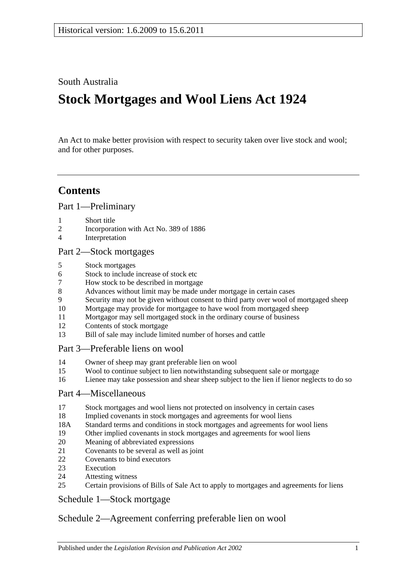South Australia

# **Stock Mortgages and Wool Liens Act 1924**

An Act to make better provision with respect to security taken over live stock and wool; and for other purposes.

### **Contents**

[Part 1—Preliminary](#page-1-0)

- [Short title](#page-1-1)
- [Incorporation with Act No. 389 of 1886](#page-1-2)
- [Interpretation](#page-1-3)

#### [Part 2—Stock mortgages](#page-1-4)

- [Stock mortgages](#page-1-5)
- [Stock to include increase of stock etc](#page-2-0)
- [How stock to be described in mortgage](#page-2-1)
- [Advances without limit may be made under mortgage in certain cases](#page-2-2)
- [Security may not be given without consent to third party over wool of mortgaged sheep](#page-2-3)
- [Mortgage may provide for mortgagee to have wool from mortgaged sheep](#page-3-0)
- [Mortgagor may sell mortgaged stock in the ordinary course of business](#page-3-1)
- [Contents of stock mortgage](#page-3-2)
- [Bill of sale may include limited number of horses and cattle](#page-3-3)

#### [Part 3—Preferable liens on wool](#page-4-0)

- [Owner of sheep may grant preferable lien on wool](#page-4-1)
- [Wool to continue subject to lien notwithstanding subsequent sale or mortgage](#page-4-2)
- [Lienee may take possession and shear sheep subject to the lien if lienor neglects to do so](#page-4-3)

#### [Part 4—Miscellaneous](#page-5-0)

- [Stock mortgages and wool liens not protected on insolvency in certain cases](#page-5-1)
- [Implied covenants in stock mortgages and agreements for wool liens](#page-5-2)
- 18A [Standard terms and conditions in stock mortgages and agreements for wool liens](#page-5-3)
- [Other implied covenants in stock mortgages and agreements for](#page-5-4) wool liens
- [Meaning of abbreviated expressions](#page-6-0)
- [Covenants to be several as well as joint](#page-6-1)
- [Covenants to bind executors](#page-6-2)
- [Execution](#page-6-3)
- [Attesting witness](#page-6-4)
- [Certain provisions of Bills of Sale Act to apply to mortgages and agreements for liens](#page-7-0)

#### [Schedule 1—Stock mortgage](#page-7-1)

#### [Schedule 2—Agreement conferring preferable lien on wool](#page-8-0)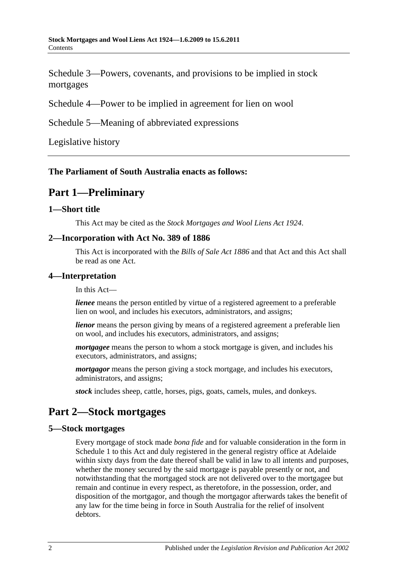[Schedule 3—Powers, covenants, and provisions to be implied in stock](#page-8-1)  [mortgages](#page-8-1)

[Schedule 4—Power to be implied in agreement for lien on wool](#page-11-0)

[Schedule 5—Meaning of abbreviated expressions](#page-11-1)

[Legislative history](#page-13-0)

#### <span id="page-1-0"></span>**The Parliament of South Australia enacts as follows:**

### **Part 1—Preliminary**

#### <span id="page-1-1"></span>**1—Short title**

This Act may be cited as the *Stock Mortgages and Wool Liens Act 1924*.

#### <span id="page-1-2"></span>**2—Incorporation with Act No. 389 of 1886**

This Act is incorporated with the *[Bills of Sale Act](http://www.legislation.sa.gov.au/index.aspx?action=legref&type=act&legtitle=Bills%20of%20Sale%20Act%201886) 1886* and that Act and this Act shall be read as one Act.

#### <span id="page-1-3"></span>**4—Interpretation**

In this Act—

*lienee* means the person entitled by virtue of a registered agreement to a preferable lien on wool, and includes his executors, administrators, and assigns;

*lienor* means the person giving by means of a registered agreement a preferable lien on wool, and includes his executors, administrators, and assigns;

*mortgagee* means the person to whom a stock mortgage is given, and includes his executors, administrators, and assigns;

*mortgagor* means the person giving a stock mortgage, and includes his executors, administrators, and assigns;

*stock* includes sheep, cattle, horses, pigs, goats, camels, mules, and donkeys.

### <span id="page-1-4"></span>**Part 2—Stock mortgages**

#### <span id="page-1-5"></span>**5—Stock mortgages**

Every mortgage of stock made *bona fide* and for valuable consideration in the form in [Schedule 1](#page-7-1) to this Act and duly registered in the general registry office at Adelaide within sixty days from the date thereof shall be valid in law to all intents and purposes, whether the money secured by the said mortgage is payable presently or not, and notwithstanding that the mortgaged stock are not delivered over to the mortgagee but remain and continue in every respect, as theretofore, in the possession, order, and disposition of the mortgagor, and though the mortgagor afterwards takes the benefit of any law for the time being in force in South Australia for the relief of insolvent debtors.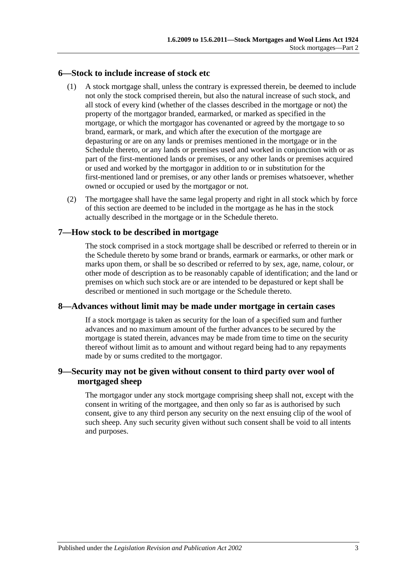#### <span id="page-2-0"></span>**6—Stock to include increase of stock etc**

- (1) A stock mortgage shall, unless the contrary is expressed therein, be deemed to include not only the stock comprised therein, but also the natural increase of such stock, and all stock of every kind (whether of the classes described in the mortgage or not) the property of the mortgagor branded, earmarked, or marked as specified in the mortgage, or which the mortgagor has covenanted or agreed by the mortgage to so brand, earmark, or mark, and which after the execution of the mortgage are depasturing or are on any lands or premises mentioned in the mortgage or in the Schedule thereto, or any lands or premises used and worked in conjunction with or as part of the first-mentioned lands or premises, or any other lands or premises acquired or used and worked by the mortgagor in addition to or in substitution for the first-mentioned land or premises, or any other lands or premises whatsoever, whether owned or occupied or used by the mortgagor or not.
- (2) The mortgagee shall have the same legal property and right in all stock which by force of this section are deemed to be included in the mortgage as he has in the stock actually described in the mortgage or in the Schedule thereto.

#### <span id="page-2-1"></span>**7—How stock to be described in mortgage**

The stock comprised in a stock mortgage shall be described or referred to therein or in the Schedule thereto by some brand or brands, earmark or earmarks, or other mark or marks upon them, or shall be so described or referred to by sex, age, name, colour, or other mode of description as to be reasonably capable of identification; and the land or premises on which such stock are or are intended to be depastured or kept shall be described or mentioned in such mortgage or the Schedule thereto.

#### <span id="page-2-2"></span>**8—Advances without limit may be made under mortgage in certain cases**

If a stock mortgage is taken as security for the loan of a specified sum and further advances and no maximum amount of the further advances to be secured by the mortgage is stated therein, advances may be made from time to time on the security thereof without limit as to amount and without regard being had to any repayments made by or sums credited to the mortgagor.

#### <span id="page-2-3"></span>**9—Security may not be given without consent to third party over wool of mortgaged sheep**

The mortgagor under any stock mortgage comprising sheep shall not, except with the consent in writing of the mortgagee, and then only so far as is authorised by such consent, give to any third person any security on the next ensuing clip of the wool of such sheep. Any such security given without such consent shall be void to all intents and purposes.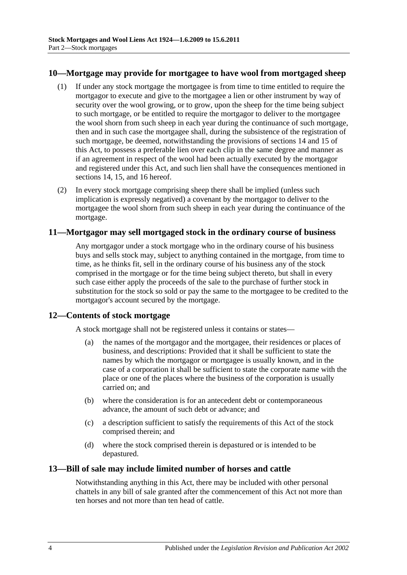#### <span id="page-3-0"></span>**10—Mortgage may provide for mortgagee to have wool from mortgaged sheep**

- (1) If under any stock mortgage the mortgagee is from time to time entitled to require the mortgagor to execute and give to the mortgagee a lien or other instrument by way of security over the wool growing, or to grow, upon the sheep for the time being subject to such mortgage, or be entitled to require the mortgagor to deliver to the mortgagee the wool shorn from such sheep in each year during the continuance of such mortgage, then and in such case the mortgagee shall, during the subsistence of the registration of such mortgage, be deemed, notwithstanding the provisions of [sections](#page-4-1) 14 and [15](#page-4-2) of this Act, to possess a preferable lien over each clip in the same degree and manner as if an agreement in respect of the wool had been actually executed by the mortgagor and registered under this Act, and such lien shall have the consequences mentioned in [sections](#page-4-1) 14, [15,](#page-4-2) and [16](#page-4-3) hereof.
- (2) In every stock mortgage comprising sheep there shall be implied (unless such implication is expressly negatived) a covenant by the mortgagor to deliver to the mortgagee the wool shorn from such sheep in each year during the continuance of the mortgage.

#### <span id="page-3-1"></span>**11—Mortgagor may sell mortgaged stock in the ordinary course of business**

Any mortgagor under a stock mortgage who in the ordinary course of his business buys and sells stock may, subject to anything contained in the mortgage, from time to time, as he thinks fit, sell in the ordinary course of his business any of the stock comprised in the mortgage or for the time being subject thereto, but shall in every such case either apply the proceeds of the sale to the purchase of further stock in substitution for the stock so sold or pay the same to the mortgagee to be credited to the mortgagor's account secured by the mortgage.

#### <span id="page-3-2"></span>**12—Contents of stock mortgage**

A stock mortgage shall not be registered unless it contains or states—

- (a) the names of the mortgagor and the mortgagee, their residences or places of business, and descriptions: Provided that it shall be sufficient to state the names by which the mortgagor or mortgagee is usually known, and in the case of a corporation it shall be sufficient to state the corporate name with the place or one of the places where the business of the corporation is usually carried on; and
- (b) where the consideration is for an antecedent debt or contemporaneous advance, the amount of such debt or advance; and
- (c) a description sufficient to satisfy the requirements of this Act of the stock comprised therein; and
- (d) where the stock comprised therein is depastured or is intended to be depastured.

#### <span id="page-3-3"></span>**13—Bill of sale may include limited number of horses and cattle**

Notwithstanding anything in this Act, there may be included with other personal chattels in any bill of sale granted after the commencement of this Act not more than ten horses and not more than ten head of cattle.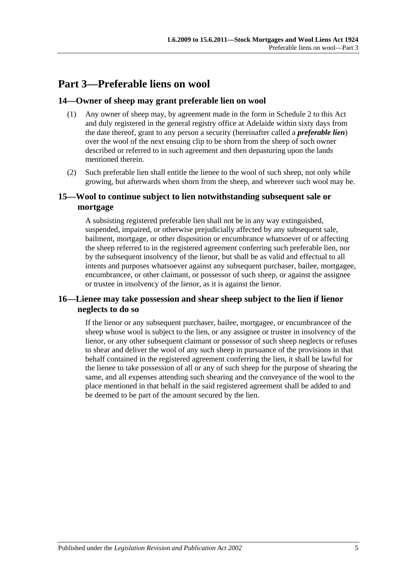# <span id="page-4-0"></span>**Part 3—Preferable liens on wool**

#### <span id="page-4-1"></span>**14—Owner of sheep may grant preferable lien on wool**

- (1) Any owner of sheep may, by agreement made in the form in [Schedule 2](#page-8-0) to this Act and duly registered in the general registry office at Adelaide within sixty days from the date thereof, grant to any person a security (hereinafter called a *preferable lien*) over the wool of the next ensuing clip to be shorn from the sheep of such owner described or referred to in such agreement and then depasturing upon the lands mentioned therein.
- (2) Such preferable lien shall entitle the lienee to the wool of such sheep, not only while growing, but afterwards when shorn from the sheep, and wherever such wool may be.

#### <span id="page-4-2"></span>**15—Wool to continue subject to lien notwithstanding subsequent sale or mortgage**

A subsisting registered preferable lien shall not be in any way extinguished, suspended, impaired, or otherwise prejudicially affected by any subsequent sale. bailment, mortgage, or other disposition or encumbrance whatsoever of or affecting the sheep referred to in the registered agreement conferring such preferable lien, nor by the subsequent insolvency of the lienor, but shall be as valid and effectual to all intents and purposes whatsoever against any subsequent purchaser, bailee, mortgagee, encumbrancee, or other claimant, or possessor of such sheep, or against the assignee or trustee in insolvency of the lienor, as it is against the lienor.

#### <span id="page-4-3"></span>**16—Lienee may take possession and shear sheep subject to the lien if lienor neglects to do so**

If the lienor or any subsequent purchaser, bailee, mortgagee, or encumbrancee of the sheep whose wool is subject to the lien, or any assignee or trustee in insolvency of the lienor, or any other subsequent claimant or possessor of such sheep neglects or refuses to shear and deliver the wool of any such sheep in pursuance of the provisions in that behalf contained in the registered agreement conferring the lien, it shall be lawful for the lienee to take possession of all or any of such sheep for the purpose of shearing the same, and all expenses attending such shearing and the conveyance of the wool to the place mentioned in that behalf in the said registered agreement shall be added to and be deemed to be part of the amount secured by the lien.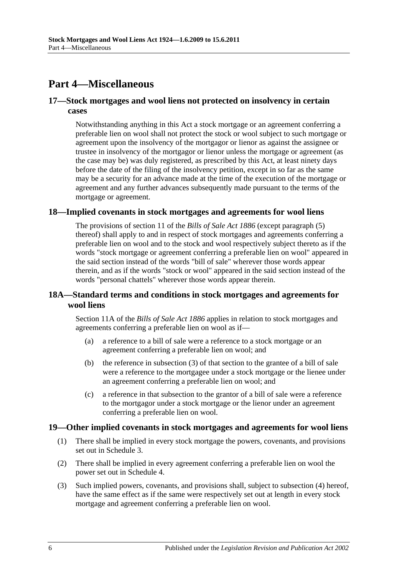## <span id="page-5-0"></span>**Part 4—Miscellaneous**

#### <span id="page-5-1"></span>**17—Stock mortgages and wool liens not protected on insolvency in certain cases**

Notwithstanding anything in this Act a stock mortgage or an agreement conferring a preferable lien on wool shall not protect the stock or wool subject to such mortgage or agreement upon the insolvency of the mortgagor or lienor as against the assignee or trustee in insolvency of the mortgagor or lienor unless the mortgage or agreement (as the case may be) was duly registered, as prescribed by this Act, at least ninety days before the date of the filing of the insolvency petition, except in so far as the same may be a security for an advance made at the time of the execution of the mortgage or agreement and any further advances subsequently made pursuant to the terms of the mortgage or agreement.

#### <span id="page-5-2"></span>**18—Implied covenants in stock mortgages and agreements for wool liens**

The provisions of section 11 of the *[Bills of Sale Act](http://www.legislation.sa.gov.au/index.aspx?action=legref&type=act&legtitle=Bills%20of%20Sale%20Act%201886) 1886* (except paragraph (5) thereof) shall apply to and in respect of stock mortgages and agreements conferring a preferable lien on wool and to the stock and wool respectively subject thereto as if the words "stock mortgage or agreement conferring a preferable lien on wool" appeared in the said section instead of the words "bill of sale" wherever those words appear therein, and as if the words "stock or wool" appeared in the said section instead of the words "personal chattels" wherever those words appear therein.

#### <span id="page-5-3"></span>**18A—Standard terms and conditions in stock mortgages and agreements for wool liens**

Section 11A of the *[Bills of Sale Act](http://www.legislation.sa.gov.au/index.aspx?action=legref&type=act&legtitle=Bills%20of%20Sale%20Act%201886) 1886* applies in relation to stock mortgages and agreements conferring a preferable lien on wool as if—

- (a) a reference to a bill of sale were a reference to a stock mortgage or an agreement conferring a preferable lien on wool; and
- (b) the reference in subsection (3) of that section to the grantee of a bill of sale were a reference to the mortgagee under a stock mortgage or the lienee under an agreement conferring a preferable lien on wool; and
- (c) a reference in that subsection to the grantor of a bill of sale were a reference to the mortgagor under a stock mortgage or the lienor under an agreement conferring a preferable lien on wool.

#### <span id="page-5-4"></span>**19—Other implied covenants in stock mortgages and agreements for wool liens**

- (1) There shall be implied in every stock mortgage the powers, covenants, and provisions set out in [Schedule 3.](#page-8-1)
- (2) There shall be implied in every agreement conferring a preferable lien on wool the power set out in [Schedule 4.](#page-11-0)
- (3) Such implied powers, covenants, and provisions shall, subject to [subsection](#page-6-5) (4) hereof, have the same effect as if the same were respectively set out at length in every stock mortgage and agreement conferring a preferable lien on wool.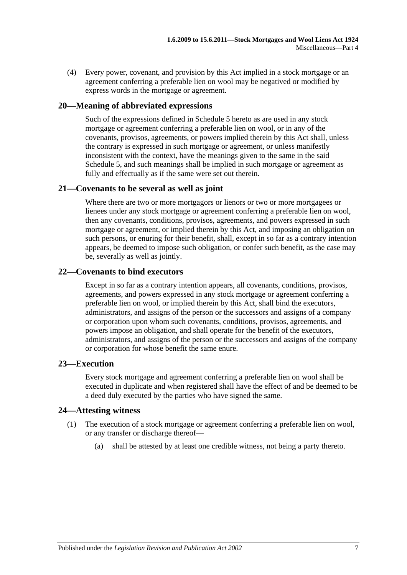<span id="page-6-5"></span>(4) Every power, covenant, and provision by this Act implied in a stock mortgage or an agreement conferring a preferable lien on wool may be negatived or modified by express words in the mortgage or agreement.

#### <span id="page-6-0"></span>**20—Meaning of abbreviated expressions**

Such of the expressions defined in [Schedule 5](#page-11-1) hereto as are used in any stock mortgage or agreement conferring a preferable lien on wool, or in any of the covenants, provisos, agreements, or powers implied therein by this Act shall, unless the contrary is expressed in such mortgage or agreement, or unless manifestly inconsistent with the context, have the meanings given to the same in the said [Schedule 5,](#page-11-1) and such meanings shall be implied in such mortgage or agreement as fully and effectually as if the same were set out therein.

#### <span id="page-6-1"></span>**21—Covenants to be several as well as joint**

Where there are two or more mortgagors or lienors or two or more mortgagees or lienees under any stock mortgage or agreement conferring a preferable lien on wool, then any covenants, conditions, provisos, agreements, and powers expressed in such mortgage or agreement, or implied therein by this Act, and imposing an obligation on such persons, or enuring for their benefit, shall, except in so far as a contrary intention appears, be deemed to impose such obligation, or confer such benefit, as the case may be, severally as well as jointly.

#### <span id="page-6-2"></span>**22—Covenants to bind executors**

Except in so far as a contrary intention appears, all covenants, conditions, provisos, agreements, and powers expressed in any stock mortgage or agreement conferring a preferable lien on wool, or implied therein by this Act, shall bind the executors, administrators, and assigns of the person or the successors and assigns of a company or corporation upon whom such covenants, conditions, provisos, agreements, and powers impose an obligation, and shall operate for the benefit of the executors, administrators, and assigns of the person or the successors and assigns of the company or corporation for whose benefit the same enure.

#### <span id="page-6-3"></span>**23—Execution**

Every stock mortgage and agreement conferring a preferable lien on wool shall be executed in duplicate and when registered shall have the effect of and be deemed to be a deed duly executed by the parties who have signed the same.

#### <span id="page-6-4"></span>**24—Attesting witness**

- (1) The execution of a stock mortgage or agreement conferring a preferable lien on wool, or any transfer or discharge thereof—
	- (a) shall be attested by at least one credible witness, not being a party thereto.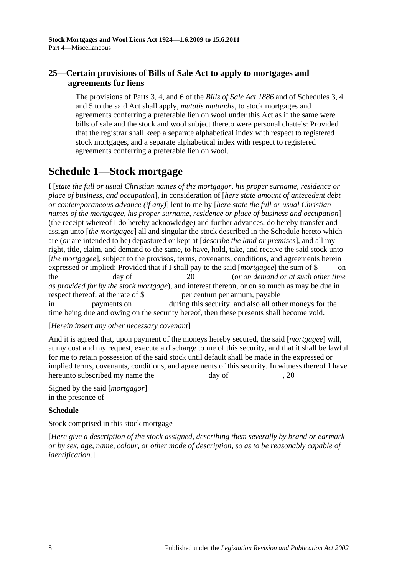#### <span id="page-7-0"></span>**25—Certain provisions of Bills of Sale Act to apply to mortgages and agreements for liens**

The provisions of Parts 3, 4, and 6 of the *[Bills of Sale Act](http://www.legislation.sa.gov.au/index.aspx?action=legref&type=act&legtitle=Bills%20of%20Sale%20Act%201886) 1886* and of Schedules 3, 4 and 5 to the said Act shall apply, *mutatis mutandis*, to stock mortgages and agreements conferring a preferable lien on wool under this Act as if the same were bills of sale and the stock and wool subject thereto were personal chattels: Provided that the registrar shall keep a separate alphabetical index with respect to registered stock mortgages, and a separate alphabetical index with respect to registered agreements conferring a preferable lien on wool.

# <span id="page-7-1"></span>**Schedule 1—Stock mortgage**

I [*state the full or usual Christian names of the mortgagor, his proper surname, residence or place of business, and occupation*], in consideration of [*here state amount of antecedent debt or contemporaneous advance (if any)*] lent to me by [*here state the full or usual Christian names of the mortgagee, his proper surname, residence or place of business and occupation*] (the receipt whereof I do hereby acknowledge) and further advances, do hereby transfer and assign unto [*the mortgagee*] all and singular the stock described in the Schedule hereto which are (*or* are intended to be) depastured or kept at [*describe the land or premises*], and all my right, title, claim, and demand to the same, to have, hold, take, and receive the said stock unto [*the mortgagee*], subject to the provisos, terms, covenants, conditions, and agreements herein expressed or implied: Provided that if I shall pay to the said [*mortgagee*] the sum of \$ on the day of 20 (*or on demand or at such other time as provided for by the stock mortgage*), and interest thereon, or on so much as may be due in respect thereof, at the rate of \$ per centum per annum, payable in payments on during this security, and also all other moneys for the time being due and owing on the security hereof, then these presents shall become void.

#### [*Herein insert any other necessary covenant*]

And it is agreed that, upon payment of the moneys hereby secured, the said [*mortgagee*] will, at my cost and my request, execute a discharge to me of this security, and that it shall be lawful for me to retain possession of the said stock until default shall be made in the expressed or implied terms, covenants, conditions, and agreements of this security. In witness thereof I have hereunto subscribed my name the day of  $, 20$ 

Signed by the said [*mortgagor*] in the presence of

#### **Schedule**

Stock comprised in this stock mortgage

[*Here give a description of the stock assigned, describing them severally by brand or earmark or by sex, age, name, colour, or other mode of description, so as to be reasonably capable of identification.*]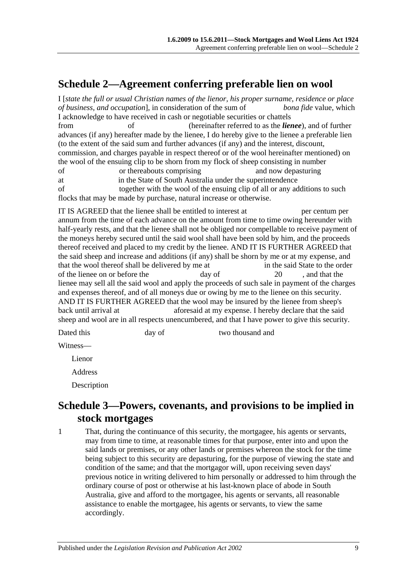# <span id="page-8-0"></span>**Schedule 2—Agreement conferring preferable lien on wool**

I [*state the full or usual Christian names of the lienor, his proper surname, residence or place of business, and occupation*], in consideration of the sum of *bona fide* value, which I acknowledge to have received in cash or negotiable securities or chattels from of (hereinafter referred to as the *lienee*), and of further

advances (if any) hereafter made by the lienee, I do hereby give to the lienee a preferable lien (to the extent of the said sum and further advances (if any) and the interest, discount, commission, and charges payable in respect thereof or of the wool hereinafter mentioned) on the wool of the ensuing clip to be shorn from my flock of sheep consisting in number

of or thereabouts comprising and now depasturing

at in the State of South Australia under the superintendence

of together with the wool of the ensuing clip of all or any additions to such flocks that may be made by purchase, natural increase or otherwise.

IT IS AGREED that the lienee shall be entitled to interest at per centum per annum from the time of each advance on the amount from time to time owing hereunder with half-yearly rests, and that the lienee shall not be obliged nor compellable to receive payment of the moneys hereby secured until the said wool shall have been sold by him, and the proceeds thereof received and placed to my credit by the lienee. AND IT IS FURTHER AGREED that the said sheep and increase and additions (if any) shall be shorn by me or at my expense, and that the wool thereof shall be delivered by me at in the said State to the order of the lienee on or before the day of 20 , and that the lienee may sell all the said wool and apply the proceeds of such sale in payment of the charges and expenses thereof, and of all moneys due or owing by me to the lienee on this security. AND IT IS FURTHER AGREED that the wool may be insured by the lienee from sheep's back until arrival at aforesaid at my expense. I hereby declare that the said sheep and wool are in all respects unencumbered, and that I have power to give this security.

Dated this day of two thousand and

Witness—

Lienor

Address

Description

## <span id="page-8-1"></span>**Schedule 3—Powers, covenants, and provisions to be implied in stock mortgages**

1 That, during the continuance of this security, the mortgagee, his agents or servants, may from time to time, at reasonable times for that purpose, enter into and upon the said lands or premises, or any other lands or premises whereon the stock for the time being subject to this security are depasturing, for the purpose of viewing the state and condition of the same; and that the mortgagor will, upon receiving seven days' previous notice in writing delivered to him personally or addressed to him through the ordinary course of post or otherwise at his last-known place of abode in South Australia, give and afford to the mortgagee, his agents or servants, all reasonable assistance to enable the mortgagee, his agents or servants, to view the same accordingly.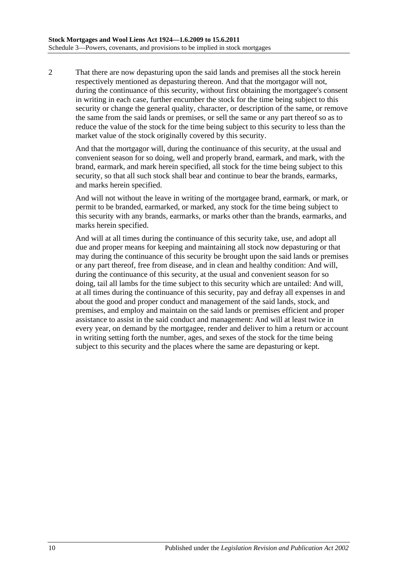2 That there are now depasturing upon the said lands and premises all the stock herein respectively mentioned as depasturing thereon. And that the mortgagor will not, during the continuance of this security, without first obtaining the mortgagee's consent in writing in each case, further encumber the stock for the time being subject to this security or change the general quality, character, or description of the same, or remove the same from the said lands or premises, or sell the same or any part thereof so as to reduce the value of the stock for the time being subject to this security to less than the market value of the stock originally covered by this security.

And that the mortgagor will, during the continuance of this security, at the usual and convenient season for so doing, well and properly brand, earmark, and mark, with the brand, earmark, and mark herein specified, all stock for the time being subject to this security, so that all such stock shall bear and continue to bear the brands, earmarks, and marks herein specified.

And will not without the leave in writing of the mortgagee brand, earmark, or mark, or permit to be branded, earmarked, or marked, any stock for the time being subject to this security with any brands, earmarks, or marks other than the brands, earmarks, and marks herein specified.

And will at all times during the continuance of this security take, use, and adopt all due and proper means for keeping and maintaining all stock now depasturing or that may during the continuance of this security be brought upon the said lands or premises or any part thereof, free from disease, and in clean and healthy condition: And will, during the continuance of this security, at the usual and convenient season for so doing, tail all lambs for the time subject to this security which are untailed: And will, at all times during the continuance of this security, pay and defray all expenses in and about the good and proper conduct and management of the said lands, stock, and premises, and employ and maintain on the said lands or premises efficient and proper assistance to assist in the said conduct and management: And will at least twice in every year, on demand by the mortgagee, render and deliver to him a return or account in writing setting forth the number, ages, and sexes of the stock for the time being subject to this security and the places where the same are depasturing or kept.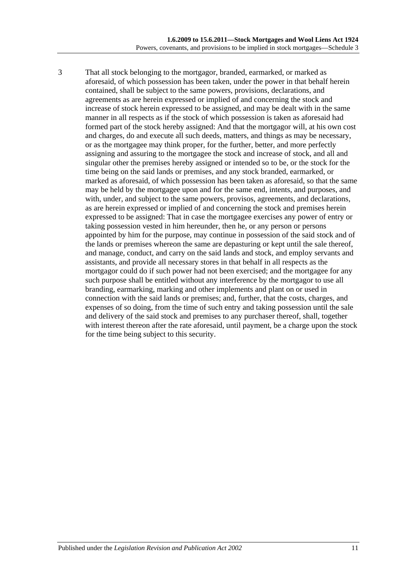3 That all stock belonging to the mortgagor, branded, earmarked, or marked as aforesaid, of which possession has been taken, under the power in that behalf herein contained, shall be subject to the same powers, provisions, declarations, and agreements as are herein expressed or implied of and concerning the stock and increase of stock herein expressed to be assigned, and may be dealt with in the same manner in all respects as if the stock of which possession is taken as aforesaid had formed part of the stock hereby assigned: And that the mortgagor will, at his own cost and charges, do and execute all such deeds, matters, and things as may be necessary, or as the mortgagee may think proper, for the further, better, and more perfectly assigning and assuring to the mortgagee the stock and increase of stock, and all and singular other the premises hereby assigned or intended so to be, or the stock for the time being on the said lands or premises, and any stock branded, earmarked, or marked as aforesaid, of which possession has been taken as aforesaid, so that the same may be held by the mortgagee upon and for the same end, intents, and purposes, and with, under, and subject to the same powers, provisos, agreements, and declarations, as are herein expressed or implied of and concerning the stock and premises herein expressed to be assigned: That in case the mortgagee exercises any power of entry or taking possession vested in him hereunder, then he, or any person or persons appointed by him for the purpose, may continue in possession of the said stock and of the lands or premises whereon the same are depasturing or kept until the sale thereof, and manage, conduct, and carry on the said lands and stock, and employ servants and assistants, and provide all necessary stores in that behalf in all respects as the mortgagor could do if such power had not been exercised; and the mortgagee for any such purpose shall be entitled without any interference by the mortgagor to use all branding, earmarking, marking and other implements and plant on or used in connection with the said lands or premises; and, further, that the costs, charges, and expenses of so doing, from the time of such entry and taking possession until the sale and delivery of the said stock and premises to any purchaser thereof, shall, together with interest thereon after the rate aforesaid, until payment, be a charge upon the stock for the time being subject to this security.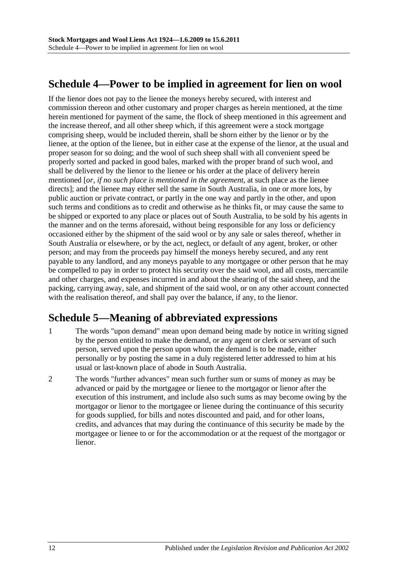# <span id="page-11-0"></span>**Schedule 4—Power to be implied in agreement for lien on wool**

If the lienor does not pay to the lienee the moneys hereby secured, with interest and commission thereon and other customary and proper charges as herein mentioned, at the time herein mentioned for payment of the same, the flock of sheep mentioned in this agreement and the increase thereof, and all other sheep which, if this agreement were a stock mortgage comprising sheep, would be included therein, shall be shorn either by the lienor or by the lienee, at the option of the lienee, but in either case at the expense of the lienor, at the usual and proper season for so doing; and the wool of such sheep shall with all convenient speed be properly sorted and packed in good bales, marked with the proper brand of such wool, and shall be delivered by the lienor to the lienee or his order at the place of delivery herein mentioned [*or, if no such place is mentioned in the agreement*, at such place as the lienee directs]; and the lienee may either sell the same in South Australia, in one or more lots, by public auction or private contract, or partly in the one way and partly in the other, and upon such terms and conditions as to credit and otherwise as he thinks fit, or may cause the same to be shipped or exported to any place or places out of South Australia, to be sold by his agents in the manner and on the terms aforesaid, without being responsible for any loss or deficiency occasioned either by the shipment of the said wool or by any sale or sales thereof, whether in South Australia or elsewhere, or by the act, neglect, or default of any agent, broker, or other person; and may from the proceeds pay himself the moneys hereby secured, and any rent payable to any landlord, and any moneys payable to any mortgagee or other person that he may be compelled to pay in order to protect his security over the said wool, and all costs, mercantile and other charges, and expenses incurred in and about the shearing of the said sheep, and the packing, carrying away, sale, and shipment of the said wool, or on any other account connected with the realisation thereof, and shall pay over the balance, if any, to the lienor.

# <span id="page-11-1"></span>**Schedule 5—Meaning of abbreviated expressions**

- 1 The words "upon demand" mean upon demand being made by notice in writing signed by the person entitled to make the demand, or any agent or clerk or servant of such person, served upon the person upon whom the demand is to be made, either personally or by posting the same in a duly registered letter addressed to him at his usual or last-known place of abode in South Australia.
- 2 The words "further advances" mean such further sum or sums of money as may be advanced or paid by the mortgagee or lienee to the mortgagor or lienor after the execution of this instrument, and include also such sums as may become owing by the mortgagor or lienor to the mortgagee or lienee during the continuance of this security for goods supplied, for bills and notes discounted and paid, and for other loans, credits, and advances that may during the continuance of this security be made by the mortgagee or lienee to or for the accommodation or at the request of the mortgagor or lienor.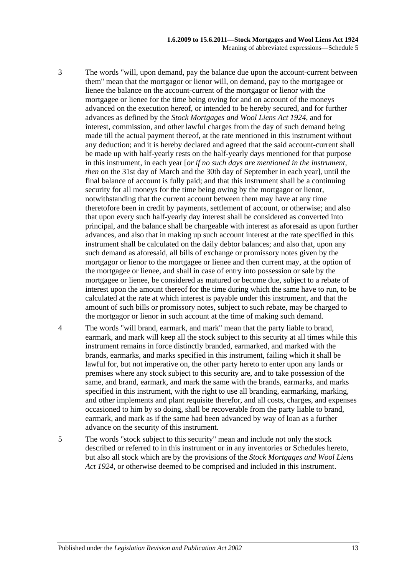- 3 The words "will, upon demand, pay the balance due upon the account-current between them" mean that the mortgagor or lienor will, on demand, pay to the mortgagee or lienee the balance on the account-current of the mortgagor or lienor with the mortgagee or lienee for the time being owing for and on account of the moneys advanced on the execution hereof, or intended to be hereby secured, and for further advances as defined by the *[Stock Mortgages and Wool Liens Act](http://www.legislation.sa.gov.au/index.aspx?action=legref&type=act&legtitle=Stock%20Mortgages%20and%20Wool%20Liens%20Act%201924) 1924*, and for interest, commission, and other lawful charges from the day of such demand being made till the actual payment thereof, at the rate mentioned in this instrument without any deduction; and it is hereby declared and agreed that the said account-current shall be made up with half-yearly rests on the half-yearly days mentioned for that purpose in this instrument, in each year [*or if no such days are mentioned in the instrument, then* on the 31st day of March and the 30th day of September in each year], until the final balance of account is fully paid; and that this instrument shall be a continuing security for all moneys for the time being owing by the mortgagor or lienor, notwithstanding that the current account between them may have at any time theretofore been in credit by payments, settlement of account, or otherwise; and also that upon every such half-yearly day interest shall be considered as converted into principal, and the balance shall be chargeable with interest as aforesaid as upon further advances, and also that in making up such account interest at the rate specified in this instrument shall be calculated on the daily debtor balances; and also that, upon any such demand as aforesaid, all bills of exchange or promissory notes given by the mortgagor or lienor to the mortgagee or lienee and then current may, at the option of the mortgagee or lienee, and shall in case of entry into possession or sale by the mortgagee or lienee, be considered as matured or become due, subject to a rebate of interest upon the amount thereof for the time during which the same have to run, to be calculated at the rate at which interest is payable under this instrument, and that the amount of such bills or promissory notes, subject to such rebate, may be charged to the mortgagor or lienor in such account at the time of making such demand.
- 4 The words "will brand, earmark, and mark" mean that the party liable to brand, earmark, and mark will keep all the stock subject to this security at all times while this instrument remains in force distinctly branded, earmarked, and marked with the brands, earmarks, and marks specified in this instrument, failing which it shall be lawful for, but not imperative on, the other party hereto to enter upon any lands or premises where any stock subject to this security are, and to take possession of the same, and brand, earmark, and mark the same with the brands, earmarks, and marks specified in this instrument, with the right to use all branding, earmarking, marking, and other implements and plant requisite therefor, and all costs, charges, and expenses occasioned to him by so doing, shall be recoverable from the party liable to brand, earmark, and mark as if the same had been advanced by way of loan as a further advance on the security of this instrument.
- 5 The words "stock subject to this security" mean and include not only the stock described or referred to in this instrument or in any inventories or Schedules hereto, but also all stock which are by the provisions of the *[Stock Mortgages and Wool Liens](http://www.legislation.sa.gov.au/index.aspx?action=legref&type=act&legtitle=Stock%20Mortgages%20and%20Wool%20Liens%20Act%201924)  Act [1924](http://www.legislation.sa.gov.au/index.aspx?action=legref&type=act&legtitle=Stock%20Mortgages%20and%20Wool%20Liens%20Act%201924)*, or otherwise deemed to be comprised and included in this instrument.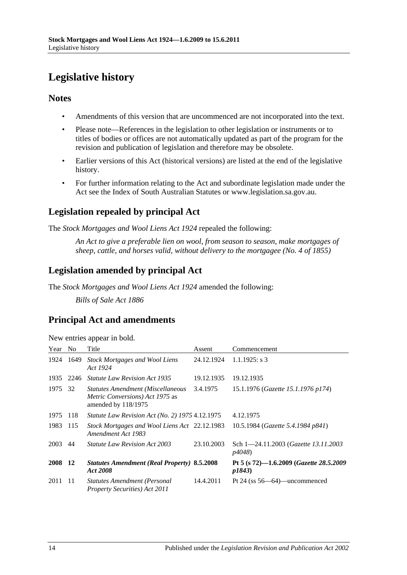# <span id="page-13-0"></span>**Legislative history**

#### **Notes**

- Amendments of this version that are uncommenced are not incorporated into the text.
- Please note—References in the legislation to other legislation or instruments or to titles of bodies or offices are not automatically updated as part of the program for the revision and publication of legislation and therefore may be obsolete.
- Earlier versions of this Act (historical versions) are listed at the end of the legislative history.
- For further information relating to the Act and subordinate legislation made under the Act see the Index of South Australian Statutes or www.legislation.sa.gov.au.

### **Legislation repealed by principal Act**

The *Stock Mortgages and Wool Liens Act 1924* repealed the following:

*An Act to give a preferable lien on wool, from season to season, make mortgages of sheep, cattle, and horses valid, without delivery to the mortgagee (No. 4 of 1855)*

### **Legislation amended by principal Act**

The *Stock Mortgages and Wool Liens Act 1924* amended the following:

*Bills of Sale Act 1886*

### **Principal Act and amendments**

New entries appear in bold.

| Year    | N <sub>o</sub> | Title                                                                                              | Assent     | Commencement                                              |
|---------|----------------|----------------------------------------------------------------------------------------------------|------------|-----------------------------------------------------------|
| 1924    | 1649           | <b>Stock Mortgages and Wool Liens</b><br>Act 1924                                                  | 24.12.1924 | $1.1.1925$ : s 3                                          |
| 1935    | 2246           | <b>Statute Law Revision Act 1935</b>                                                               | 19.12.1935 | 19.12.1935                                                |
| 1975 32 |                | <b>Statutes Amendment (Miscellaneous</b><br>Metric Conversions) Act 1975 as<br>amended by 118/1975 | 3.4.1975   | 15.1.1976 (Gazette 15.1.1976 p174)                        |
| 1975    | -118           | <i>Statute Law Revision Act (No. 2) 1975 4.12.1975</i>                                             |            | 4.12.1975                                                 |
| 1983    | 115            | Stock Mortgages and Wool Liens Act 22.12.1983<br>Amendment Act 1983                                |            | 10.5.1984 (Gazette 5.4.1984 p841)                         |
| 2003    | 44             | <i>Statute Law Revision Act 2003</i>                                                               | 23.10.2003 | Sch 1-24.11.2003 (Gazette 13.11.2003)<br><i>p4048</i> )   |
| 2008 12 |                | <b>Statutes Amendment (Real Property) 8.5.2008</b><br>Act 2008                                     |            | Pt 5 (s 72)-1.6.2009 (Gazette 28.5.2009<br><i>p1843</i> ) |
| 2011    | -11            | <b>Statutes Amendment (Personal</b><br><b>Property Securities</b> ) Act 2011                       | 14.4.2011  | Pt 24 (ss $56-64$ )—uncommenced                           |